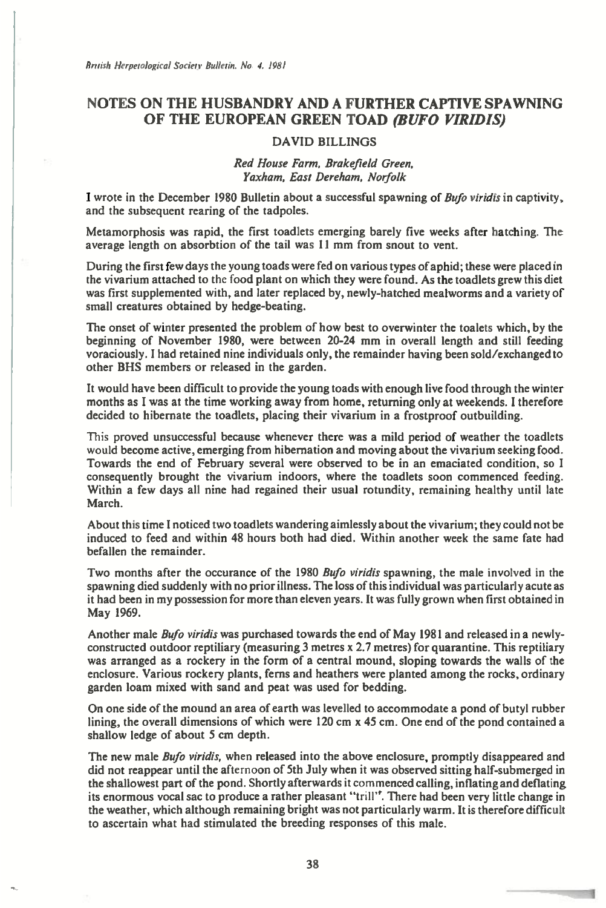## **NOTES ON THE HUSBANDRY AND A FURTHER CAPTIVE SPAWNING OF THE EUROPEAN GREEN TOAD** *(BUFO VIRIDIS)*

## **DAVID BILLINGS**

*Red House Farm, Brakefield Green, Yaxham, East Dereham, Norfolk* 

**I** wrote in the December 1980 Bulletin about a successful spawning of *Bufo viridis* in captivity, **and the subsequent rearing of the tadpoles.** 

**Metamorphosis was rapid, the first toadlets emerging barely five weeks after hatching. The average length on absorbtion of the tail was 11 mm from snout to vent.** 

**During the first few days the young toads were fed on various types of aphid; these were placed in the vivarium attached to the food plant on which they were found. As the toadlets grew this diet was first supplemented with, and later replaced by, newly-hatched mealworms and a variety of small creatures obtained by hedge-beating.** 

**The onset of winter presented the problem of how best to overwinter the toalets which, by the beginning of November 1980, were between 20-24 mm in overall length and still feeding voraciously. I had retained nine individuals only, the remainder having been sold/exchanged to other BHS members or released in the garden.** 

**It would have been difficult to provide the young toads with enough live food through the winter months as I was at the time working away from home, returning only at weekends. I therefore decided to hibernate the toadlets, placing their vivarium in a frostproof outbuilding.** 

**This proved unsuccessful because whenever there was a mild period of weather the toadlets would become active, emerging from hibernation and moving about the vivarium seeking food. Towards the end of February several were observed to be in an emaciated condition, so I consequently brought the vivarium indoors, where the toadlets soon commenced feeding. Within a few days all nine had regained their usual rotundity, remaining healthy until late March.** 

**About this time I noticed two toadlets wandering aimlessly about the vivarium; they could not be induced to feed and within 48 hours both had died. Within another week the same fate had befallen the remainder.** 

**Two months after the occurance of the 1980** *Bujo viridis* **spawning, the male involved in the spawning died suddenly with no prior illness. The loss of this individual was particularly acute as it had been in my possession for more than eleven years. It was fully grown when first obtained in May 1969.** 

**Another male** *Bufo viridis* **was purchased towards the end of May 1981 and released in a newlyconstructed outdoor reptiliary (measuring 3 metres x 2.7 metres) for quarantine. This reptiliary was arranged as a rockery in the form of a central mound, sloping towards the walls of the enclosure. Various rockery plants, ferns and heathers were planted among the rocks, ordinary garden loam mixed with sand and peat was used for bedding.** 

**On one side of the mound an area of earth was levelled to accommodate a pond of butyl rubber lining, the overall dimensions of which were 120 cm x 45 cm. One end of the pond contained a shallow ledge of about 5 cm depth.** 

**The new male** *Bufo viridis,* **when released into the above enclosure, promptly disappeared and did not reappear until the afternoon of 5th July when it was observed sitting half-submerged in the shallowest part of the pond. Shortly afterwards it commenced calling, inflating and deflating its enormous vocal sac to produce a rather pleasant** "trill". **There had been very little change in the weather, which although remaining bright was not particularly warm. It is therefore difficult to ascertain what had stimulated the breeding responses of this male.**